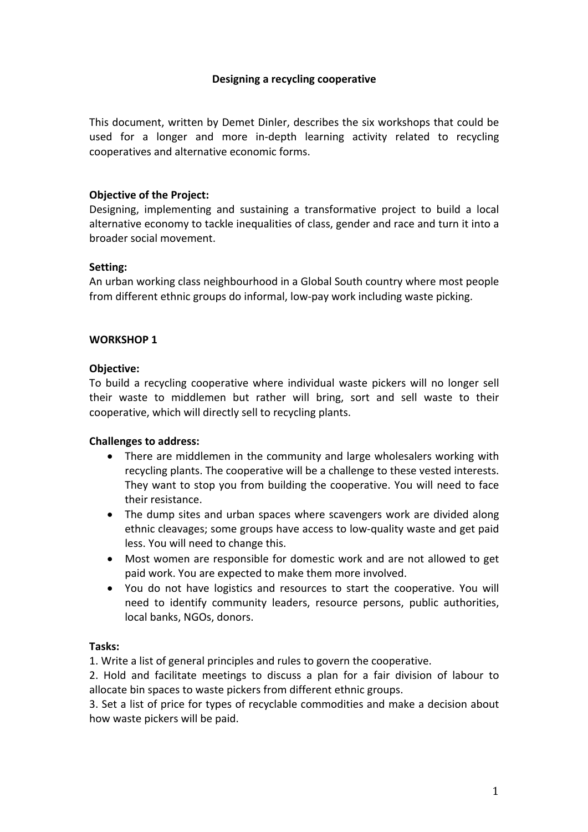## **Designing a recycling cooperative**

This document, written by Demet Dinler, describes the six workshops that could be used for a longer and more in-depth learning activity related to recycling cooperatives and alternative economic forms.

### **Objective of the Project:**

Designing, implementing and sustaining a transformative project to build a local alternative economy to tackle inequalities of class, gender and race and turn it into a broader social movement.

### **Setting:**

An urban working class neighbourhood in a Global South country where most people from different ethnic groups do informal, low-pay work including waste picking.

### **WORKSHOP 1**

### **Objective:**

To build a recycling cooperative where individual waste pickers will no longer sell their waste to middlemen but rather will bring, sort and sell waste to their cooperative, which will directly sell to recycling plants.

# **Challenges to address:**

- There are middlemen in the community and large wholesalers working with recycling plants. The cooperative will be a challenge to these vested interests. They want to stop you from building the cooperative. You will need to face their resistance.
- The dump sites and urban spaces where scavengers work are divided along ethnic cleavages; some groups have access to low-quality waste and get paid less. You will need to change this.
- Most women are responsible for domestic work and are not allowed to get paid work. You are expected to make them more involved.
- You do not have logistics and resources to start the cooperative. You will need to identify community leaders, resource persons, public authorities, local banks, NGOs, donors.

### **Tasks:**

1. Write a list of general principles and rules to govern the cooperative.

2. Hold and facilitate meetings to discuss a plan for a fair division of labour to allocate bin spaces to waste pickers from different ethnic groups.

3. Set a list of price for types of recyclable commodities and make a decision about how waste pickers will be paid.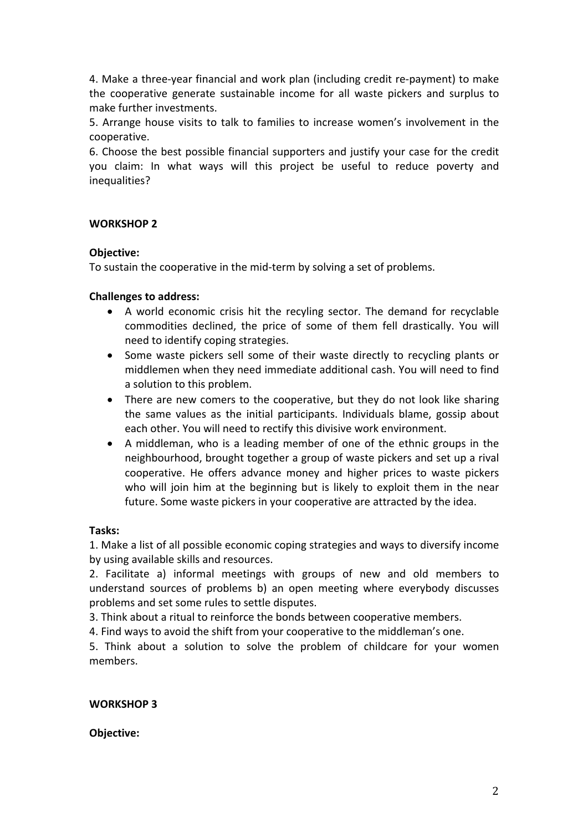4. Make a three-year financial and work plan (including credit re-payment) to make the cooperative generate sustainable income for all waste pickers and surplus to make further investments.

5. Arrange house visits to talk to families to increase women's involvement in the cooperative.

6. Choose the best possible financial supporters and justify your case for the credit you claim: In what ways will this project be useful to reduce poverty and inequalities?

# **WORKSHOP 2**

### **Objective:**

To sustain the cooperative in the mid-term by solving a set of problems.

### **Challenges to address:**

- A world economic crisis hit the recyling sector. The demand for recyclable commodities declined, the price of some of them fell drastically. You will need to identify coping strategies.
- Some waste pickers sell some of their waste directly to recycling plants or middlemen when they need immediate additional cash. You will need to find a solution to this problem.
- There are new comers to the cooperative, but they do not look like sharing the same values as the initial participants. Individuals blame, gossip about each other. You will need to rectify this divisive work environment.
- A middleman, who is a leading member of one of the ethnic groups in the neighbourhood, brought together a group of waste pickers and set up a rival cooperative. He offers advance money and higher prices to waste pickers who will join him at the beginning but is likely to exploit them in the near future. Some waste pickers in your cooperative are attracted by the idea.

### **Tasks:**

1. Make a list of all possible economic coping strategies and ways to diversify income by using available skills and resources.

2. Facilitate a) informal meetings with groups of new and old members to understand sources of problems b) an open meeting where everybody discusses problems and set some rules to settle disputes.

3. Think about a ritual to reinforce the bonds between cooperative members.

4. Find ways to avoid the shift from your cooperative to the middleman's one.

5. Think about a solution to solve the problem of childcare for your women members.

# **WORKSHOP 3**

### **Objective:**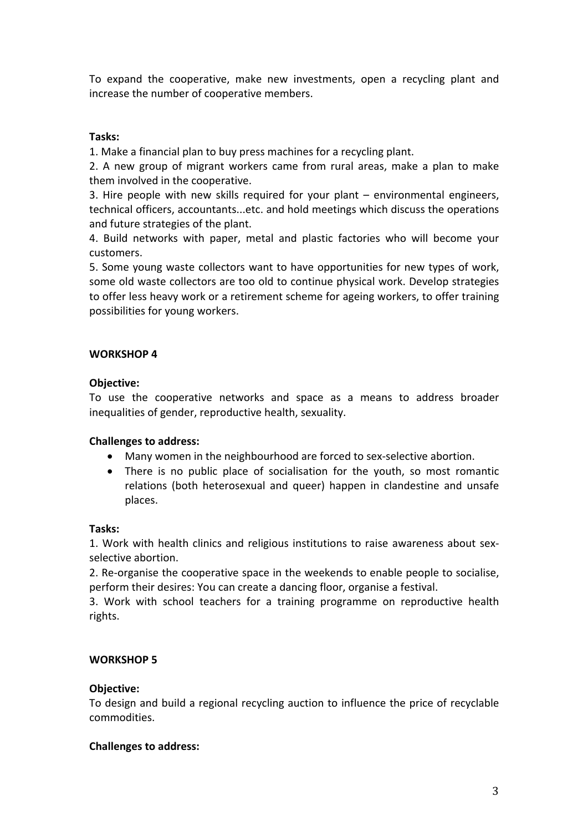To expand the cooperative, make new investments, open a recycling plant and increase the number of cooperative members.

## **Tasks:**

1. Make a financial plan to buy press machines for a recycling plant.

2. A new group of migrant workers came from rural areas, make a plan to make them involved in the cooperative.

3. Hire people with new skills required for your plant – environmental engineers, technical officers, accountants...etc. and hold meetings which discuss the operations and future strategies of the plant.

4. Build networks with paper, metal and plastic factories who will become your customers.

5. Some young waste collectors want to have opportunities for new types of work, some old waste collectors are too old to continue physical work. Develop strategies to offer less heavy work or a retirement scheme for ageing workers, to offer training possibilities for young workers.

## **WORKSHOP 4**

## **Objective:**

To use the cooperative networks and space as a means to address broader inequalities of gender, reproductive health, sexuality.

### **Challenges to address:**

- Many women in the neighbourhood are forced to sex-selective abortion.
- There is no public place of socialisation for the youth, so most romantic relations (both heterosexual and queer) happen in clandestine and unsafe places.

### **Tasks:**

1. Work with health clinics and religious institutions to raise awareness about sexselective abortion.

2. Re-organise the cooperative space in the weekends to enable people to socialise, perform their desires: You can create a dancing floor, organise a festival.

3. Work with school teachers for a training programme on reproductive health rights.

# **WORKSHOP 5**

### **Objective:**

To design and build a regional recycling auction to influence the price of recyclable commodities.

### **Challenges to address:**